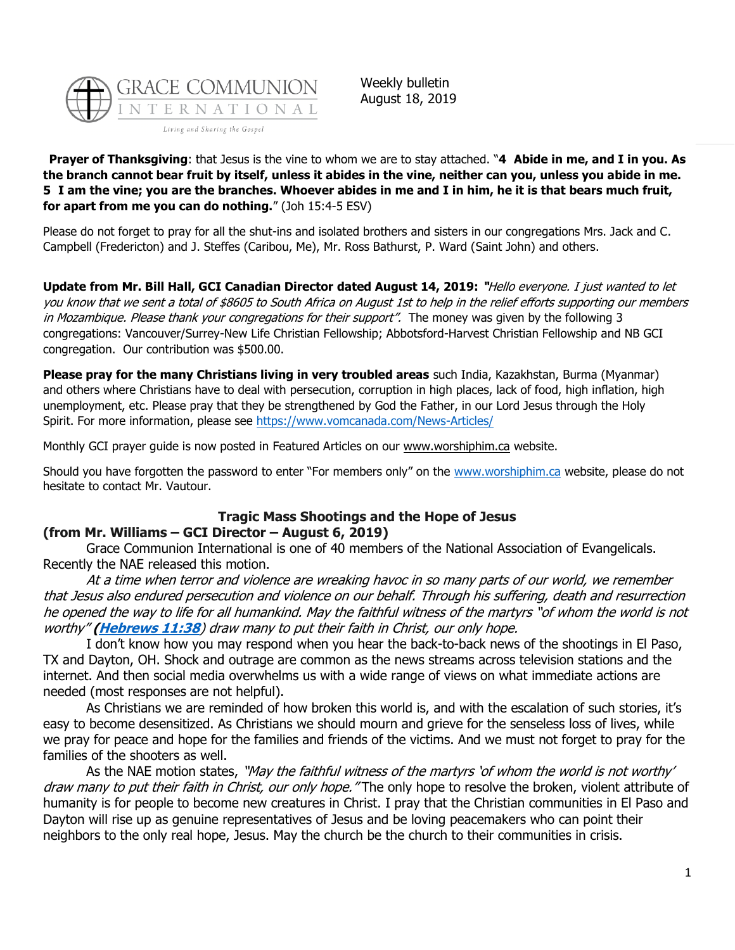

Weekly bulletin August 18, 2019

**Prayer of Thanksgiving**: that Jesus is the vine to whom we are to stay attached. "**4 Abide in me, and I in you. As the branch cannot bear fruit by itself, unless it abides in the vine, neither can you, unless you abide in me. 5 I am the vine; you are the branches. Whoever abides in me and I in him, he it is that bears much fruit, for apart from me you can do nothing.**" (Joh 15:4-5 ESV)

Please do not forget to pray for all the shut-ins and isolated brothers and sisters in our congregations Mrs. Jack and C. Campbell (Fredericton) and J. Steffes (Caribou, Me), Mr. Ross Bathurst, P. Ward (Saint John) and others.

**Update from Mr. Bill Hall, GCI Canadian Director dated August 14, 2019: "**Hello everyone. I just wanted to let you know that we sent a total of \$8605 to South Africa on August 1st to help in the relief efforts supporting our members in Mozambique. Please thank your congregations for their support". The money was given by the following 3 congregations: Vancouver/Surrey-New Life Christian Fellowship; Abbotsford-Harvest Christian Fellowship and NB GCI congregation. Our contribution was \$500.00.

**Please pray for the many Christians living in very troubled areas** such India, Kazakhstan, Burma (Myanmar) and others where Christians have to deal with persecution, corruption in high places, lack of food, high inflation, high unemployment, etc. Please pray that they be strengthened by God the Father, in our Lord Jesus through the Holy Spirit. For more information, please see<https://www.vomcanada.com/News-Articles/>

Monthly GCI prayer guide is now posted in Featured Articles on our [www.worshiphim.ca](http://www.worshiphim.ca/) website.

Should you have forgotten the password to enter "For members only" on the [www.worshiphim.ca](http://www.worshiphim.ca/) website, please do not hesitate to contact Mr. Vautour.

#### **Tragic Mass Shootings and the Hope of Jesus (from Mr. Williams – GCI Director – August 6, 2019)**

Grace Communion International is one of 40 members of the National Association of Evangelicals. Recently the NAE released this motion.

At a time when terror and violence are wreaking havoc in so many parts of our world, we remember that Jesus also endured persecution and violence on our behalf. Through his suffering, death and resurrection he opened the way to life for all humankind. May the faithful witness of the martyrs "of whom the world is not worthy" **[\(Hebrews 11:38](https://biblia.com/bible/niv/Heb%2011.38)**) draw many to put their faith in Christ, our only hope.

I don't know how you may respond when you hear the back-to-back news of the shootings in El Paso, TX and Dayton, OH. Shock and outrage are common as the news streams across television stations and the internet. And then social media overwhelms us with a wide range of views on what immediate actions are needed (most responses are not helpful).

As Christians we are reminded of how broken this world is, and with the escalation of such stories, it's easy to become desensitized. As Christians we should mourn and grieve for the senseless loss of lives, while we pray for peace and hope for the families and friends of the victims. And we must not forget to pray for the families of the shooters as well.

As the NAE motion states, "May the faithful witness of the martyrs 'of whom the world is not worthy' draw many to put their faith in Christ, our only hope. "The only hope to resolve the broken, violent attribute of humanity is for people to become new creatures in Christ. I pray that the Christian communities in El Paso and Dayton will rise up as genuine representatives of Jesus and be loving peacemakers who can point their neighbors to the only real hope, Jesus. May the church be the church to their communities in crisis.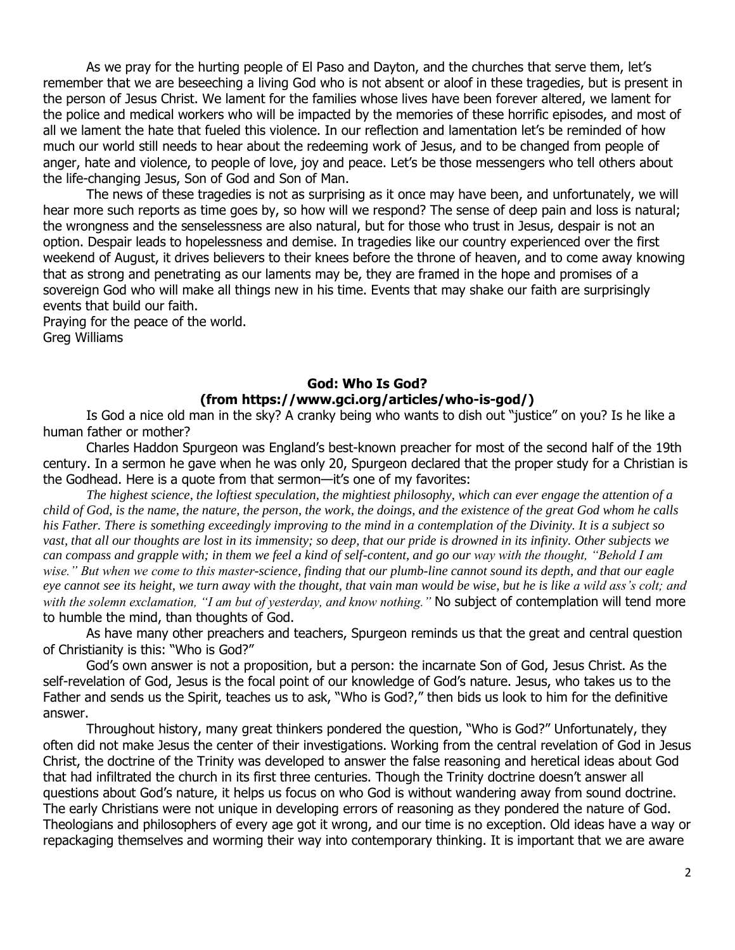As we pray for the hurting people of El Paso and Dayton, and the churches that serve them, let's remember that we are beseeching a living God who is not absent or aloof in these tragedies, but is present in the person of Jesus Christ. We lament for the families whose lives have been forever altered, we lament for the police and medical workers who will be impacted by the memories of these horrific episodes, and most of all we lament the hate that fueled this violence. In our reflection and lamentation let's be reminded of how much our world still needs to hear about the redeeming work of Jesus, and to be changed from people of anger, hate and violence, to people of love, joy and peace. Let's be those messengers who tell others about the life-changing Jesus, Son of God and Son of Man.

The news of these tragedies is not as surprising as it once may have been, and unfortunately, we will hear more such reports as time goes by, so how will we respond? The sense of deep pain and loss is natural; the wrongness and the senselessness are also natural, but for those who trust in Jesus, despair is not an option. Despair leads to hopelessness and demise. In tragedies like our country experienced over the first weekend of August, it drives believers to their knees before the throne of heaven, and to come away knowing that as strong and penetrating as our laments may be, they are framed in the hope and promises of a sovereign God who will make all things new in his time. Events that may shake our faith are surprisingly events that build our faith.

Praying for the peace of the world. Greg Williams

# **God: Who Is God? (from https://www.gci.org/articles/who-is-god/)**

Is God a nice old man in the sky? A cranky being who wants to dish out "justice" on you? Is he like a human father or mother?

Charles Haddon Spurgeon was England's best-known preacher for most of the second half of the 19th century. In a sermon he gave when he was only 20, Spurgeon declared that the proper study for a Christian is the Godhead. Here is a quote from that sermon—it's one of my favorites:

*The highest science, the loftiest speculation, the mightiest philosophy, which can ever engage the attention of a child of God, is the name, the nature, the person, the work, the doings, and the existence of the great God whom he calls his Father. There is something exceedingly improving to the mind in a contemplation of the Divinity. It is a subject so vast, that all our thoughts are lost in its immensity; so deep, that our pride is drowned in its infinity. Other subjects we can compass and grapple with; in them we feel a kind of self-content, and go our way with the thought, "Behold I am wise." But when we come to this master-science, finding that our plumb-line cannot sound its depth, and that our eagle eye cannot see its height, we turn away with the thought, that vain man would be wise, but he is like a wild ass's colt; and*  with the solemn exclamation, "I am but of yesterday, and know nothing." No subject of contemplation will tend more to humble the mind, than thoughts of God.

As have many other preachers and teachers, Spurgeon reminds us that the great and central question of Christianity is this: "Who is God?"

God's own answer is not a proposition, but a person: the incarnate Son of God, Jesus Christ. As the self-revelation of God, Jesus is the focal point of our knowledge of God's nature. Jesus, who takes us to the Father and sends us the Spirit, teaches us to ask, "Who is God?," then bids us look to him for the definitive answer.

Throughout history, many great thinkers pondered the question, "Who is God?" Unfortunately, they often did not make Jesus the center of their investigations. Working from the central revelation of God in Jesus Christ, the doctrine of the Trinity was developed to answer the false reasoning and heretical ideas about God that had infiltrated the church in its first three centuries. Though the Trinity doctrine doesn't answer all questions about God's nature, it helps us focus on who God is without wandering away from sound doctrine. The early Christians were not unique in developing errors of reasoning as they pondered the nature of God. Theologians and philosophers of every age got it wrong, and our time is no exception. Old ideas have a way or repackaging themselves and worming their way into contemporary thinking. It is important that we are aware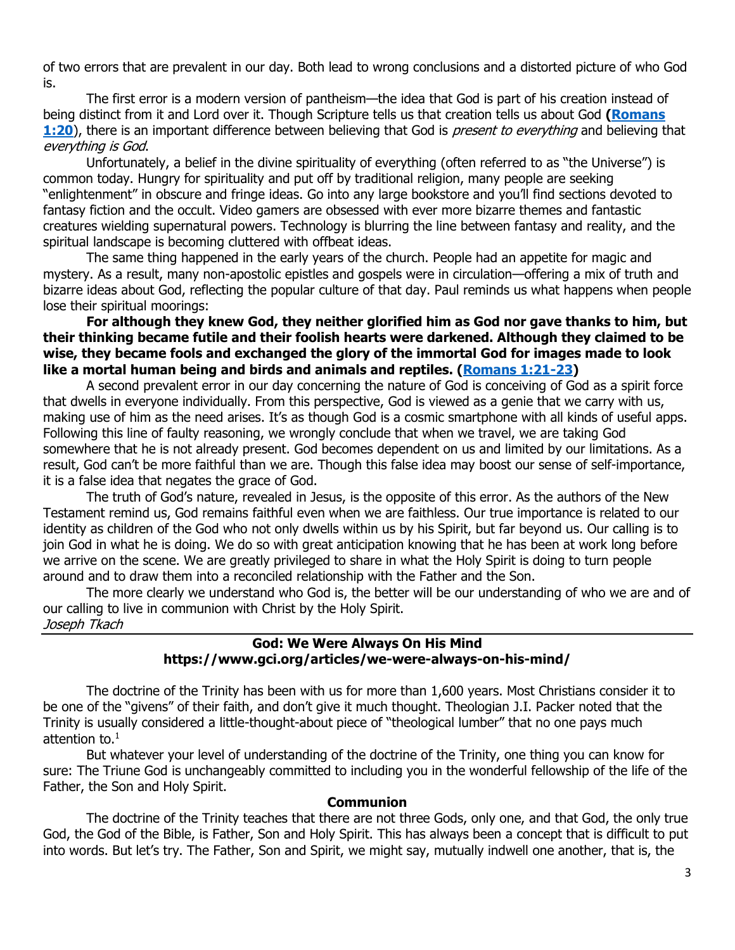of two errors that are prevalent in our day. Both lead to wrong conclusions and a distorted picture of who God is.

The first error is a modern version of pantheism—the idea that God is part of his creation instead of being distinct from it and Lord over it. Though Scripture tells us that creation tells us about God **[\(Romans](https://biblia.com/bible/niv/Rom%201.20)  [1:20](https://biblia.com/bible/niv/Rom%201.20)**), there is an important difference between believing that God is present to everything and believing that everything is God.

Unfortunately, a belief in the divine spirituality of everything (often referred to as "the Universe") is common today. Hungry for spirituality and put off by traditional religion, many people are seeking "enlightenment" in obscure and fringe ideas. Go into any large bookstore and you'll find sections devoted to fantasy fiction and the occult. Video gamers are obsessed with ever more bizarre themes and fantastic creatures wielding supernatural powers. Technology is blurring the line between fantasy and reality, and the spiritual landscape is becoming cluttered with offbeat ideas.

The same thing happened in the early years of the church. People had an appetite for magic and mystery. As a result, many non-apostolic epistles and gospels were in circulation—offering a mix of truth and bizarre ideas about God, reflecting the popular culture of that day. Paul reminds us what happens when people lose their spiritual moorings:

**For although they knew God, they neither glorified him as God nor gave thanks to him, but their thinking became futile and their foolish hearts were darkened. Although they claimed to be wise, they became fools and exchanged the glory of the immortal God for images made to look like a mortal human being and birds and animals and reptiles. [\(Romans 1:21-23\)](https://biblia.com/bible/niv/Rom%201.21-23)**

A second prevalent error in our day concerning the nature of God is conceiving of God as a spirit force that dwells in everyone individually. From this perspective, God is viewed as a genie that we carry with us, making use of him as the need arises. It's as though God is a cosmic smartphone with all kinds of useful apps. Following this line of faulty reasoning, we wrongly conclude that when we travel, we are taking God somewhere that he is not already present. God becomes dependent on us and limited by our limitations. As a result, God can't be more faithful than we are. Though this false idea may boost our sense of self-importance, it is a false idea that negates the grace of God.

The truth of God's nature, revealed in Jesus, is the opposite of this error. As the authors of the New Testament remind us, God remains faithful even when we are faithless. Our true importance is related to our identity as children of the God who not only dwells within us by his Spirit, but far beyond us. Our calling is to join God in what he is doing. We do so with great anticipation knowing that he has been at work long before we arrive on the scene. We are greatly privileged to share in what the Holy Spirit is doing to turn people around and to draw them into a reconciled relationship with the Father and the Son.

The more clearly we understand who God is, the better will be our understanding of who we are and of our calling to live in communion with Christ by the Holy Spirit. Joseph Tkach

## **God: We Were Always On His Mind https://www.gci.org/articles/we-were-always-on-his-mind/**

The doctrine of the Trinity has been with us for more than 1,600 years. Most Christians consider it to be one of the "givens" of their faith, and don't give it much thought. Theologian J.I. Packer noted that the Trinity is usually considered a little-thought-about piece of "theological lumber" that no one pays much attention to.<sup>1</sup>

But whatever your level of understanding of the doctrine of the Trinity, one thing you can know for sure: The Triune God is unchangeably committed to including you in the wonderful fellowship of the life of the Father, the Son and Holy Spirit.

#### **Communion**

The doctrine of the Trinity teaches that there are not three Gods, only one, and that God, the only true God, the God of the Bible, is Father, Son and Holy Spirit. This has always been a concept that is difficult to put into words. But let's try. The Father, Son and Spirit, we might say, mutually indwell one another, that is, the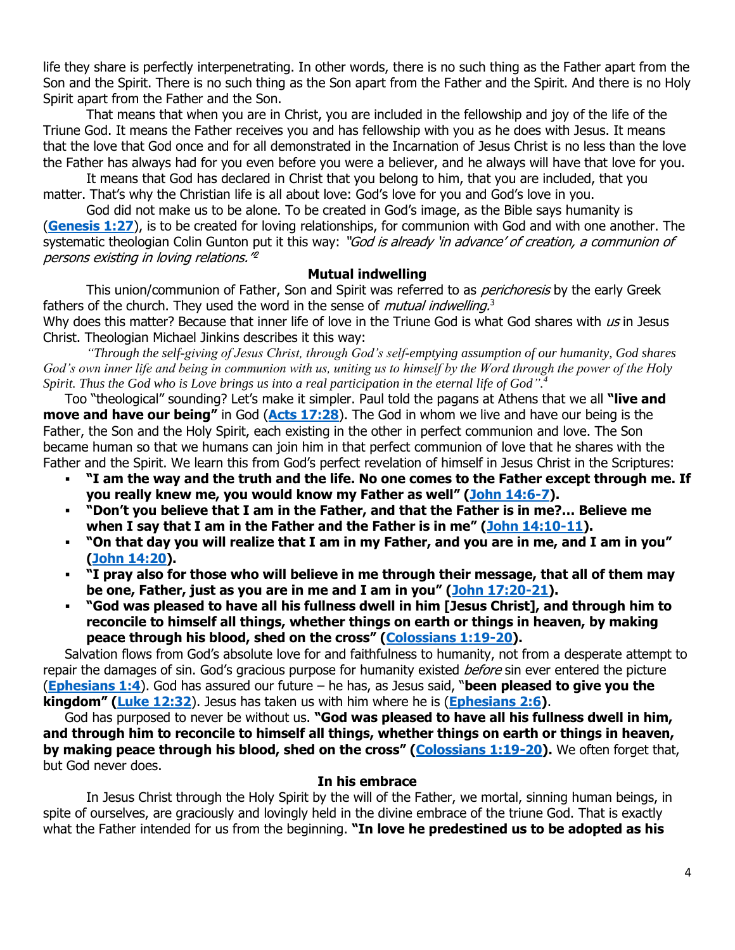life they share is perfectly interpenetrating. In other words, there is no such thing as the Father apart from the Son and the Spirit. There is no such thing as the Son apart from the Father and the Spirit. And there is no Holy Spirit apart from the Father and the Son.

That means that when you are in Christ, you are included in the fellowship and joy of the life of the Triune God. It means the Father receives you and has fellowship with you as he does with Jesus. It means that the love that God once and for all demonstrated in the Incarnation of Jesus Christ is no less than the love the Father has always had for you even before you were a believer, and he always will have that love for you.

It means that God has declared in Christ that you belong to him, that you are included, that you matter. That's why the Christian life is all about love: God's love for you and God's love in you.

God did not make us to be alone. To be created in God's image, as the Bible says humanity is (**[Genesis 1:27](http://biblia.com/bible/niv/Gen%201.27)**), is to be created for loving relationships, for communion with God and with one another. The systematic theologian Colin Gunton put it this way: "God is already 'in advance' of creation, a communion of persons existing in loving relations." 2

#### **Mutual indwelling**

This union/communion of Father, Son and Spirit was referred to as *perichoresis* by the early Greek fathers of the church. They used the word in the sense of *mutual indwelling*.<sup>3</sup>

Why does this matter? Because that inner life of love in the Triune God is what God shares with us in Jesus Christ. Theologian Michael Jinkins describes it this way:

*"Through the self-giving of Jesus Christ, through God's self-emptying assumption of our humanity, God shares God's own inner life and being in communion with us, uniting us to himself by the Word through the power of the Holy Spirit. Thus the God who is Love brings us into a real participation in the eternal life of God". 4*

Too "theological" sounding? Let's make it simpler. Paul told the pagans at Athens that we all **"live and move and have our being"** in God (**[Acts 17:28](http://biblia.com/bible/niv/Acts%2017.28)**). The God in whom we live and have our being is the Father, the Son and the Holy Spirit, each existing in the other in perfect communion and love. The Son became human so that we humans can join him in that perfect communion of love that he shares with the Father and the Spirit. We learn this from God's perfect revelation of himself in Jesus Christ in the Scriptures:

- **"I am the way and the truth and the life. No one comes to the Father except through me. If you really knew me, you would know my Father as well" ([John 14:6-7\)](http://biblia.com/bible/niv/John%2014.6-7).**
- **"Don't you believe that I am in the Father, and that the Father is in me?… Believe me when I say that I am in the Father and the Father is in me" ([John 14:10-11\)](http://biblia.com/bible/niv/John%2014.10-11).**
- **"On that day you will realize that I am in my Father, and you are in me, and I am in you" [\(John 14:20\)](http://biblia.com/bible/niv/John%2014.20).**
- **"I pray also for those who will believe in me through their message, that all of them may be one, Father, just as you are in me and I am in you" ([John 17:20-21\)](http://biblia.com/bible/niv/John%2017.20-21).**
- **"God was pleased to have all his fullness dwell in him [Jesus Christ], and through him to reconcile to himself all things, whether things on earth or things in heaven, by making peace through his blood, shed on the cross" ([Colossians 1:19-20\)](http://biblia.com/bible/niv/Col%201.19-20).**

Salvation flows from God's absolute love for and faithfulness to humanity, not from a desperate attempt to repair the damages of sin. God's gracious purpose for humanity existed *before* sin ever entered the picture (**[Ephesians 1:4](http://biblia.com/bible/niv/Eph%201.4)**). God has assured our future – he has, as Jesus said, "**been pleased to give you the kingdom" ([Luke 12:32](http://biblia.com/bible/niv/Luke%2012.32)**). Jesus has taken us with him where he is (**[Ephesians 2:6\)](http://biblia.com/bible/niv/Eph%202.6)**.

God has purposed to never be without us. **"God was pleased to have all his fullness dwell in him, and through him to reconcile to himself all things, whether things on earth or things in heaven, by making peace through his blood, shed on the cross" ([Colossians 1:19-20\)](http://biblia.com/bible/niv/Col%201.19-20).** We often forget that, but God never does.

#### **In his embrace**

In Jesus Christ through the Holy Spirit by the will of the Father, we mortal, sinning human beings, in spite of ourselves, are graciously and lovingly held in the divine embrace of the triune God. That is exactly what the Father intended for us from the beginning. **"In love he predestined us to be adopted as his**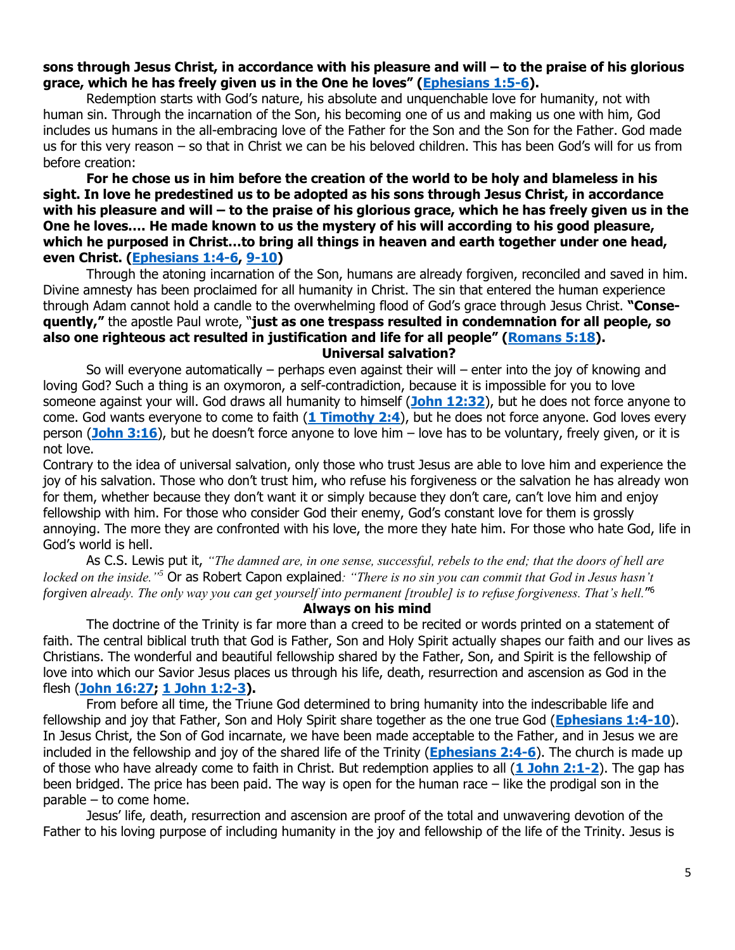#### **sons through Jesus Christ, in accordance with his pleasure and will – to the praise of his glorious grace, which he has freely given us in the One he loves" ([Ephesians 1:5-6\)](http://biblia.com/bible/niv/Eph%201.5-6).**

Redemption starts with God's nature, his absolute and unquenchable love for humanity, not with human sin. Through the incarnation of the Son, his becoming one of us and making us one with him, God includes us humans in the all-embracing love of the Father for the Son and the Son for the Father. God made us for this very reason – so that in Christ we can be his beloved children. This has been God's will for us from before creation:

## **For he chose us in him before the creation of the world to be holy and blameless in his sight. In love he predestined us to be adopted as his sons through Jesus Christ, in accordance with his pleasure and will – to the praise of his glorious grace, which he has freely given us in the One he loves…. He made known to us the mystery of his will according to his good pleasure, which he purposed in Christ…to bring all things in heaven and earth together under one head, even Christ. [\(Ephesians 1:4-6,](http://biblia.com/bible/niv/Eph%201.4-6) [9-10\)](http://biblia.com/bible/niv/Ephesians%201.9-10)**

Through the atoning incarnation of the Son, humans are already forgiven, reconciled and saved in him. Divine amnesty has been proclaimed for all humanity in Christ. The sin that entered the human experience through Adam cannot hold a candle to the overwhelming flood of God's grace through Jesus Christ. **"Consequently,"** the apostle Paul wrote, "**just as one trespass resulted in condemnation for all people, so also one righteous act resulted in justification and life for all people" ([Romans 5:18\)](http://biblia.com/bible/niv/Rom%205.18). Universal salvation?**

So will everyone automatically – perhaps even against their will – enter into the joy of knowing and loving God? Such a thing is an oxymoron, a self-contradiction, because it is impossible for you to love someone against your will. God draws all humanity to himself (**[John 12:32](http://biblia.com/bible/niv/John%2012.32)**), but he does not force anyone to come. God wants everyone to come to faith (**[1 Timothy 2:4](http://biblia.com/bible/niv/1%20Tim%202.4)**), but he does not force anyone. God loves every person (**[John 3:16](http://biblia.com/bible/niv/John%203.16)**), but he doesn't force anyone to love him – love has to be voluntary, freely given, or it is not love.

Contrary to the idea of universal salvation, only those who trust Jesus are able to love him and experience the joy of his salvation. Those who don't trust him, who refuse his forgiveness or the salvation he has already won for them, whether because they don't want it or simply because they don't care, can't love him and enjoy fellowship with him. For those who consider God their enemy, God's constant love for them is grossly annoying. The more they are confronted with his love, the more they hate him. For those who hate God, life in God's world is hell.

As C.S. Lewis put it, *"The damned are, in one sense, successful, rebels to the end; that the doors of hell are locked on the inside."<sup>5</sup>* Or as Robert Capon explained*: "There is no sin you can commit that God in Jesus hasn't forgiven already. The only way you can get yourself into permanent [trouble] is to refuse forgiveness. That's hell.*" 6

#### **Always on his mind**

The doctrine of the Trinity is far more than a creed to be recited or words printed on a statement of faith. The central biblical truth that God is Father, Son and Holy Spirit actually shapes our faith and our lives as Christians. The wonderful and beautiful fellowship shared by the Father, Son, and Spirit is the fellowship of love into which our Savior Jesus places us through his life, death, resurrection and ascension as God in the flesh (**[John 16:27;](http://biblia.com/bible/niv/John%2016.27) [1 John 1:2-3\)](http://biblia.com/bible/niv/1%20John%201.2-3).**

From before all time, the Triune God determined to bring humanity into the indescribable life and fellowship and joy that Father, Son and Holy Spirit share together as the one true God (**[Ephesians 1:4-10](http://biblia.com/bible/niv/Eph%201.4-10)**). In Jesus Christ, the Son of God incarnate, we have been made acceptable to the Father, and in Jesus we are included in the fellowship and joy of the shared life of the Trinity (**[Ephesians 2:4-6](http://biblia.com/bible/niv/Eph%202.4-6)**). The church is made up of those who have already come to faith in Christ. But redemption applies to all (**[1 John 2:1-2](http://biblia.com/bible/niv/1%20John%202.1-2)**). The gap has been bridged. The price has been paid. The way is open for the human race – like the prodigal son in the parable – to come home.

Jesus' life, death, resurrection and ascension are proof of the total and unwavering devotion of the Father to his loving purpose of including humanity in the joy and fellowship of the life of the Trinity. Jesus is